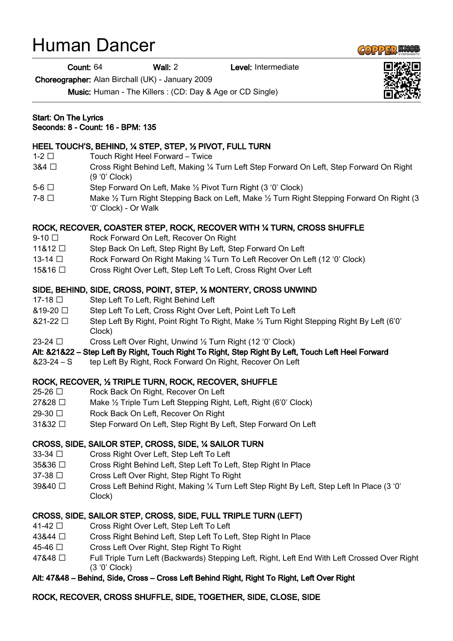# Human Dancer

Count: 64 Wall: 2 Level: Intermediate

Choreographer: Alan Birchall (UK) - January 2009

Music: Human - The Killers : (CD: Day & Age or CD Single)

#### Start: On The Lyrics Seconds: 8 - Count: 16 - BPM: 135

### HEEL TOUCH'S, BEHIND, ¼ STEP, STEP, ½ PIVOT, FULL TURN

- $1-2 \Box$  Touch Right Heel Forward Twice
- 3&4  $\Box$  Cross Right Behind Left, Making 1/4 Turn Left Step Forward On Left, Step Forward On Right (9 '0' Clock)
- 5-6  $\Box$  Step Forward On Left, Make  $\frac{1}{2}$  Pivot Turn Right (3 '0' Clock)
- 7-8  $\Box$  Make ½ Turn Right Stepping Back on Left, Make ½ Turn Right Stepping Forward On Right (3) '0' Clock) - Or Walk

## ROCK, RECOVER, COASTER STEP, ROCK, RECOVER WITH ¼ TURN, CROSS SHUFFLE

- 9-10 □ Rock Forward On Left, Recover On Right
- 11&12 □ Step Back On Left, Step Right By Left, Step Forward On Left
- 13-14 □ Rock Forward On Right Making ¼ Turn To Left Recover On Left (12 '0' Clock)
- 15&16 □ Cross Right Over Left, Step Left To Left, Cross Right Over Left

### SIDE, BEHIND, SIDE, CROSS, POINT, STEP, ½ MONTERY, CROSS UNWIND

- 17-18 □ Step Left To Left, Right Behind Left
- &19-20 □ Step Left To Left, Cross Right Over Left, Point Left To Left
- $&21-22 \square$  Step Left By Right, Point Right To Right, Make  $\frac{1}{2}$  Turn Right Stepping Right By Left (6'0') Clock)
- 23-24  $\Box$  Cross Left Over Right, Unwind  $\frac{1}{2}$  Turn Right (12 '0' Clock)

### Alt: &21&22 – Step Left By Right, Touch Right To Right, Step Right By Left, Touch Left Heel Forward

&23-24 – S tep Left By Right, Rock Forward On Right, Recover On Left

### ROCK, RECOVER, ½ TRIPLE TURN, ROCK, RECOVER, SHUFFLE

- $25-26$   $\Box$  Rock Back On Right, Recover On Left
- $27828$   $\Box$  Make  $\frac{1}{2}$  Triple Turn Left Stepping Right, Left, Right (6'0' Clock)
- 29-30 □ Rock Back On Left, Recover On Right
- 31&32 □ Step Forward On Left, Step Right By Left, Step Forward On Left

### CROSS, SIDE, SAILOR STEP, CROSS, SIDE, ¼ SAILOR TURN

- 33-34 □ Cross Right Over Left, Step Left To Left
- 35&36 □ Cross Right Behind Left, Step Left To Left, Step Right In Place
- 37-38  $\Box$  Cross Left Over Right, Step Right To Right
- 39&40 □ Cross Left Behind Right, Making ¼ Turn Left Step Right By Left, Step Left In Place (3 '0' Clock)

### CROSS, SIDE, SAILOR STEP, CROSS, SIDE, FULL TRIPLE TURN (LEFT)

- 41-42 □ Cross Right Over Left, Step Left To Left
- 43&44 □ Cross Right Behind Left, Step Left To Left, Step Right In Place
- $45-46$   $\Box$  Cross Left Over Right, Step Right To Right
- 47&48 □ Full Triple Turn Left (Backwards) Stepping Left, Right, Left End With Left Crossed Over Right (3 '0' Clock)

### Alt: 47&48 – Behind, Side, Cross – Cross Left Behind Right, Right To Right, Left Over Right

# ROCK, RECOVER, CROSS SHUFFLE, SIDE, TOGETHER, SIDE, CLOSE, SIDE